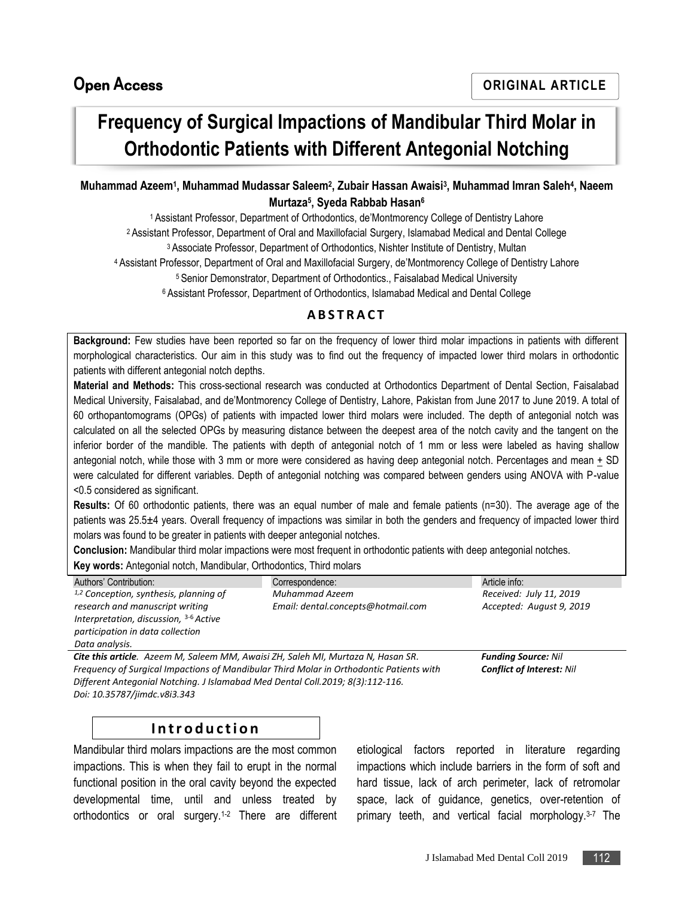# **Frequency of Surgical Impactions of Mandibular Third Molar in Orthodontic Patients with Different Antegonial Notching**

#### **Muhammad Azeem<sup>1</sup> , Muhammad Mudassar Saleem<sup>2</sup> , Zubair Hassan Awaisi<sup>3</sup> , Muhammad Imran Saleh<sup>4</sup> , Naeem Murtaza<sup>5</sup> , Syeda Rabbab Hasan<sup>6</sup>**

<sup>1</sup>Assistant Professor, Department of Orthodontics, de'Montmorency College of Dentistry Lahore

<sup>2</sup> Assistant Professor, Department of Oral and Maxillofacial Surgery, Islamabad Medical and Dental College

<sup>3</sup> Associate Professor, Department of Orthodontics, Nishter Institute of Dentistry, Multan

<sup>4</sup> Assistant Professor, Department of Oral and Maxillofacial Surgery, de'Montmorency College of Dentistry Lahore

<sup>5</sup> Senior Demonstrator, Department of Orthodontics., Faisalabad Medical University

<sup>6</sup> Assistant Professor, Department of Orthodontics, Islamabad Medical and Dental College

#### **A B S T R A C T**

**Background:** Few studies have been reported so far on the frequency of lower third molar impactions in patients with different morphological characteristics. Our aim in this study was to find out the frequency of impacted lower third molars in orthodontic patients with different antegonial notch depths.

**Material and Methods:** This cross-sectional research was conducted at Orthodontics Department of Dental Section, Faisalabad Medical University, Faisalabad, and de'Montmorency College of Dentistry, Lahore, Pakistan from June 2017 to June 2019. A total of 60 orthopantomograms (OPGs) of patients with impacted lower third molars were included. The depth of antegonial notch was calculated on all the selected OPGs by measuring distance between the deepest area of the notch cavity and the tangent on the inferior border of the mandible. The patients with depth of antegonial notch of 1 mm or less were labeled as having shallow antegonial notch, while those with 3 mm or more were considered as having deep antegonial notch. Percentages and mean  $\pm$  SD were calculated for different variables. Depth of antegonial notching was compared between genders using ANOVA with P-value <0.5 considered as significant.

**Results:** Of 60 orthodontic patients, there was an equal number of male and female patients (n=30). The average age of the patients was 25.5±4 years. Overall frequency of impactions was similar in both the genders and frequency of impacted lower third molars was found to be greater in patients with deeper antegonial notches.

**Conclusion:** Mandibular third molar impactions were most frequent in orthodontic patients with deep antegonial notches.

**Key words:** Antegonial notch, Mandibular, Orthodontics, Third molars

| Authors' Contribution:                                                                  | Correspondence:                    | Article info:                    |
|-----------------------------------------------------------------------------------------|------------------------------------|----------------------------------|
| $1,2$ Conception, synthesis, planning of                                                | Muhammad Azeem                     | Received: July 11, 2019          |
| research and manuscript writing                                                         | Email: dental.concepts@hotmail.com | Accepted: August 9, 2019         |
| Interpretation, discussion, $3-6$ Active                                                |                                    |                                  |
| participation in data collection                                                        |                                    |                                  |
| Data analysis.                                                                          |                                    |                                  |
| Cite this article. Azeem M, Saleem MM, Awaisi ZH, Saleh MI, Murtaza N, Hasan SR.        |                                    | <b>Funding Source: Nil</b>       |
| Frequency of Surgical Impactions of Mandibular Third Molar in Orthodontic Patients with |                                    | <b>Conflict of Interest: Nil</b> |

*Frequency of Surgical Impactions of Mandibular Third Molar in Orthodontic Patients with Different Antegonial Notching. J Islamabad Med Dental Coll.2019; 8(3):112-116. Doi: 10.35787/jimdc.v8i3.343*

# **I n t r o d u c t i o n**

Mandibular third molars impactions are the most common impactions. This is when they fail to erupt in the normal functional position in the oral cavity beyond the expected developmental time, until and unless treated by orthodontics or oral surgery.1-2 There are different

etiological factors reported in literature regarding impactions which include barriers in the form of soft and hard tissue, lack of arch perimeter, lack of retromolar space, lack of guidance, genetics, over-retention of primary teeth, and vertical facial morphology.3-7 The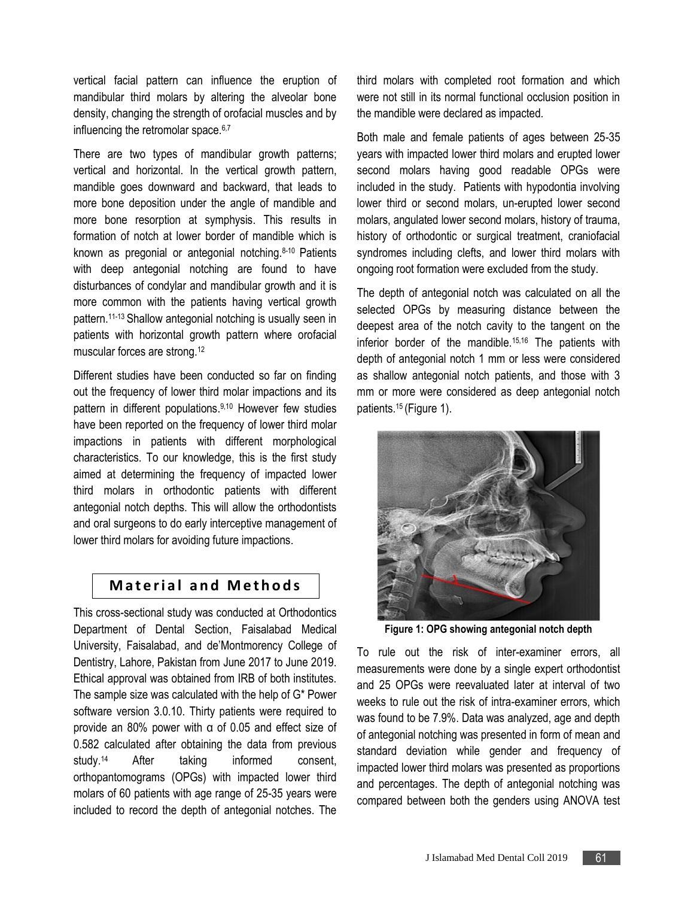vertical facial pattern can influence the eruption of mandibular third molars by altering the alveolar bone density, changing the strength of orofacial muscles and by influencing the retromolar space.<sup>6,7</sup>

There are two types of mandibular growth patterns; vertical and horizontal. In the vertical growth pattern, mandible goes downward and backward, that leads to more bone deposition under the angle of mandible and more bone resorption at symphysis. This results in formation of notch at lower border of mandible which is known as pregonial or antegonial notching.8-10 Patients with deep antegonial notching are found to have disturbances of condylar and mandibular growth and it is more common with the patients having vertical growth pattern.11-13 Shallow antegonial notching is usually seen in patients with horizontal growth pattern where orofacial muscular forces are strong.<sup>12</sup>

Different studies have been conducted so far on finding out the frequency of lower third molar impactions and its pattern in different populations. 9,10 However few studies have been reported on the frequency of lower third molar impactions in patients with different morphological characteristics. To our knowledge, this is the first study aimed at determining the frequency of impacted lower third molars in orthodontic patients with different antegonial notch depths. This will allow the orthodontists and oral surgeons to do early interceptive management of lower third molars for avoiding future impactions.

# **Material and Methods**

This cross-sectional study was conducted at Orthodontics Department of Dental Section, Faisalabad Medical University, Faisalabad, and de'Montmorency College of Dentistry, Lahore, Pakistan from June 2017 to June 2019. Ethical approval was obtained from IRB of both institutes. The sample size was calculated with the help of G\* Power software version 3.0.10. Thirty patients were required to provide an 80% power with α of 0.05 and effect size of 0.582 calculated after obtaining the data from previous study.14 After taking informed consent, orthopantomograms (OPGs) with impacted lower third molars of 60 patients with age range of 25-35 years were included to record the depth of antegonial notches. The

third molars with completed root formation and which were not still in its normal functional occlusion position in the mandible were declared as impacted.

Both male and female patients of ages between 25-35 years with impacted lower third molars and erupted lower second molars having good readable OPGs were included in the study. Patients with hypodontia involving lower third or second molars, un-erupted lower second molars, angulated lower second molars, history of trauma, history of orthodontic or surgical treatment, craniofacial syndromes including clefts, and lower third molars with ongoing root formation were excluded from the study.

The depth of antegonial notch was calculated on all the selected OPGs by measuring distance between the deepest area of the notch cavity to the tangent on the inferior border of the mandible.15,16 The patients with depth of antegonial notch 1 mm or less were considered as shallow antegonial notch patients, and those with 3 mm or more were considered as deep antegonial notch patients.15 (Figure 1).



**Figure 1: OPG showing antegonial notch depth**

To rule out the risk of inter-examiner errors, all measurements were done by a single expert orthodontist and 25 OPGs were reevaluated later at interval of two weeks to rule out the risk of intra-examiner errors, which was found to be 7.9%. Data was analyzed, age and depth of antegonial notching was presented in form of mean and standard deviation while gender and frequency of impacted lower third molars was presented as proportions and percentages. The depth of antegonial notching was compared between both the genders using ANOVA test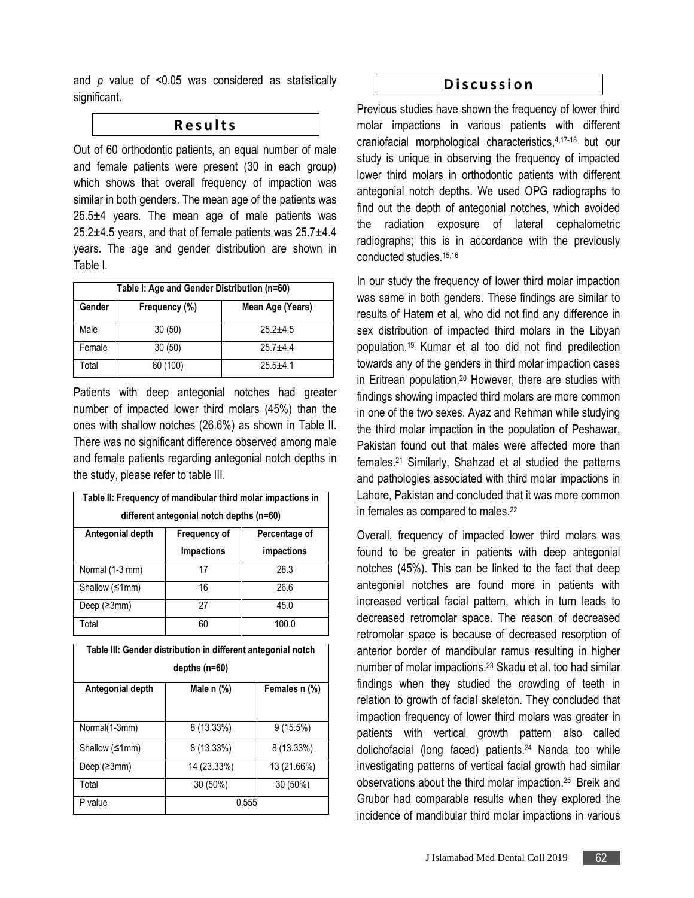and *p* value of <0.05 was considered as statistically significant.

#### **R e s u l t s**

Out of 60 orthodontic patients, an equal number of male and female patients were present (30 in each group) which shows that overall frequency of impaction was similar in both genders. The mean age of the patients was  $25.5±4$  years. The mean age of male patients was 25.2±4.5 years, and that of female patients was 25.7±4.4 years. The age and gender distribution are shown in Table I.

| Table I: Age and Gender Distribution (n=60) |               |                  |  |  |
|---------------------------------------------|---------------|------------------|--|--|
| Gender                                      | Frequency (%) | Mean Age (Years) |  |  |
| Male                                        | 30(50)        | $25.2 + 4.5$     |  |  |
| Female                                      | 30(50)        | $25.7 + 4.4$     |  |  |
| Total                                       | 60 (100)      | $25.5 + 4.1$     |  |  |

Patients with deep antegonial notches had greater number of impacted lower third molars (45%) than the ones with shallow notches (26.6%) as shown in Table II. There was no significant difference observed among male and female patients regarding antegonial notch depths in the study, please refer to table III.

| Table II: Frequency of mandibular third molar impactions in<br>different antegonial notch depths (n=60) |                                   |                             |  |  |
|---------------------------------------------------------------------------------------------------------|-----------------------------------|-----------------------------|--|--|
| Antegonial depth                                                                                        | Frequency of<br><b>Impactions</b> | Percentage of<br>impactions |  |  |
| Normal (1-3 mm)                                                                                         | 17                                | 28.3                        |  |  |
| Shallow (≤1mm)                                                                                          | 16                                | 26.6                        |  |  |
| Deep $(23mm)$                                                                                           | 27                                | 45.0                        |  |  |
| Total                                                                                                   | 60                                | 100.0                       |  |  |

| Table III: Gender distribution in different antegonial notch |              |               |  |  |
|--------------------------------------------------------------|--------------|---------------|--|--|
| depths $(n=60)$                                              |              |               |  |  |
| Antegonial depth                                             | Male $n$ $%$ | Females n (%) |  |  |
|                                                              |              |               |  |  |
| Normal(1-3mm)                                                | 8 (13.33%)   | $9(15.5\%)$   |  |  |
| Shallow $≤1mm)$                                              | 8 (13.33%)   | $8(13.33\%)$  |  |  |
| Deep $(23mm)$                                                | 14 (23.33%)  | 13 (21.66%)   |  |  |
| Total                                                        | 30 (50%)     | $30(50\%)$    |  |  |
| P value                                                      | 0.555        |               |  |  |

#### **D i s c u s s i o n**

Previous studies have shown the frequency of lower third molar impactions in various patients with different craniofacial morphological characteristics,4,17-18 but our study is unique in observing the frequency of impacted lower third molars in orthodontic patients with different antegonial notch depths. We used OPG radiographs to find out the depth of antegonial notches, which avoided the radiation exposure of lateral cephalometric radiographs; this is in accordance with the previously conducted studies.<sup>15,16</sup>

In our study the frequency of lower third molar impaction was same in both genders. These findings are similar to results of Hatem et al, who did not find any difference in sex distribution of impacted third molars in the Libyan population. <sup>19</sup> Kumar et al too did not find predilection towards any of the genders in third molar impaction cases in Eritrean population. <sup>20</sup> However, there are studies with findings showing impacted third molars are more common in one of the two sexes. Ayaz and Rehman while studying the third molar impaction in the population of Peshawar, Pakistan found out that males were affected more than females. <sup>21</sup> Similarly, Shahzad et al studied the patterns and pathologies associated with third molar impactions in Lahore, Pakistan and concluded that it was more common in females as compared to males. 22

Overall, frequency of impacted lower third molars was found to be greater in patients with deep antegonial notches (45%). This can be linked to the fact that deep antegonial notches are found more in patients with increased vertical facial pattern, which in turn leads to decreased retromolar space. The reason of decreased retromolar space is because of decreased resorption of anterior border of mandibular ramus resulting in higher number of molar impactions. <sup>23</sup> Skadu et al. too had similar findings when they studied the crowding of teeth in relation to growth of facial skeleton. They concluded that impaction frequency of lower third molars was greater in patients with vertical growth pattern also called dolichofacial (long faced) patients. <sup>24</sup> Nanda too while investigating patterns of vertical facial growth had similar observations about the third molar impaction. <sup>25</sup> Breik and Grubor had comparable results when they explored the incidence of mandibular third molar impactions in various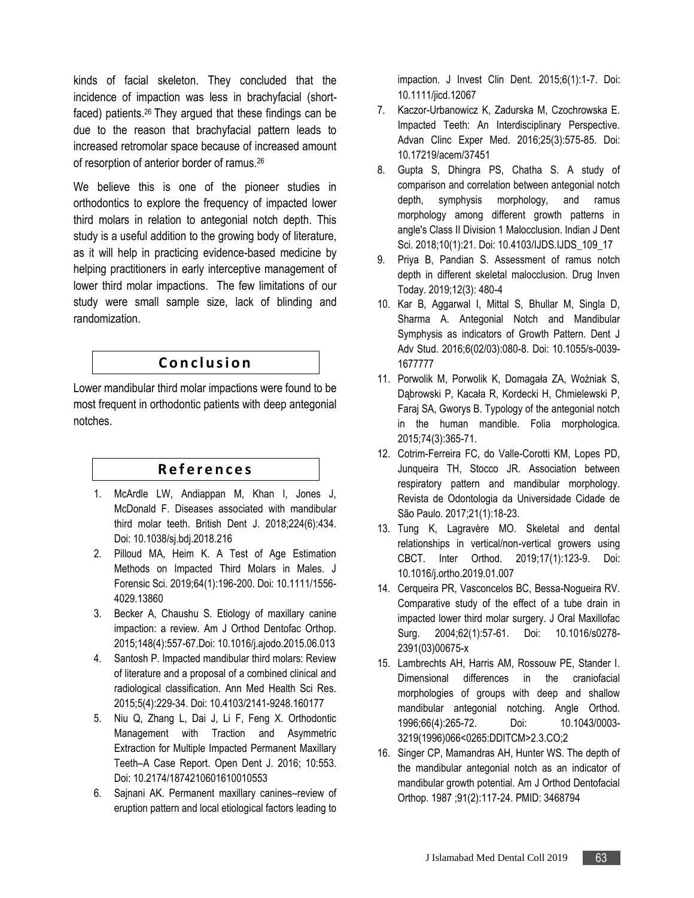kinds of facial skeleton. They concluded that the incidence of impaction was less in brachyfacial (shortfaced) patients. <sup>26</sup> They argued that these findings can be due to the reason that brachyfacial pattern leads to increased retromolar space because of increased amount of resorption of anterior border of ramus. 26

We believe this is one of the pioneer studies in orthodontics to explore the frequency of impacted lower third molars in relation to antegonial notch depth. This study is a useful addition to the growing body of literature, as it will help in practicing evidence-based medicine by helping practitioners in early interceptive management of lower third molar impactions. The few limitations of our study were small sample size, lack of blinding and randomization.

# **C o n c l u s i o n**

Lower mandibular third molar impactions were found to be most frequent in orthodontic patients with deep antegonial notches.

# **R e f e r e n c e s**

- 1. McArdle LW, Andiappan M, Khan I, Jones J, McDonald F. Diseases associated with mandibular third molar teeth. British Dent J. 2018;224(6):434. Doi: 10.1038/sj.bdj.2018.216
- 2. Pilloud MA, Heim K. A Test of Age Estimation Methods on Impacted Third Molars in Males. J Forensic Sci. 2019;64(1):196-200. Doi: 10.1111/1556- 4029.13860
- 3. Becker A, Chaushu S. Etiology of maxillary canine impaction: a review. Am J Orthod Dentofac Orthop. 2015;148(4):557-67.Doi: 10.1016/j.ajodo.2015.06.013
- 4. Santosh P. Impacted mandibular third molars: Review of literature and a proposal of a combined clinical and radiological classification. Ann Med Health Sci Res. 2015;5(4):229-34. Doi: 10.4103/2141-9248.160177
- 5. Niu Q, Zhang L, Dai J, Li F, Feng X. Orthodontic Management with Traction and Asymmetric Extraction for Multiple Impacted Permanent Maxillary Teeth–A Case Report. Open Dent J. 2016; 10:553. Doi: 10.2174/1874210601610010553
- 6. Sajnani AK. Permanent maxillary canines–review of eruption pattern and local etiological factors leading to

impaction. J Invest Clin Dent. 2015;6(1):1-7. Doi: 10.1111/jicd.12067

- 7. Kaczor-Urbanowicz K, Zadurska M, Czochrowska E. Impacted Teeth: An Interdisciplinary Perspective. Advan Clinc Exper Med. 2016;25(3):575-85. Doi: 10.17219/acem/37451
- 8. Gupta S, Dhingra PS, Chatha S. A study of comparison and correlation between antegonial notch depth, symphysis morphology, and ramus morphology among different growth patterns in angle's Class II Division 1 Malocclusion. Indian J Dent Sci. 2018;10(1):21. Doi: 10.4103/IJDS.IJDS\_109\_17
- 9. Priya B, Pandian S. Assessment of ramus notch depth in different skeletal malocclusion. Drug Inven Today. 2019;12(3): 480-4
- 10. Kar B, Aggarwal I, Mittal S, Bhullar M, Singla D, Sharma A. Antegonial Notch and Mandibular Symphysis as indicators of Growth Pattern. Dent J Adv Stud. 2016;6(02/03):080-8. Doi: 10.1055/s-0039- 1677777
- 11. Porwolik M, Porwolik K, Domagała ZA, Woźniak S, Dąbrowski P, Kacała R, Kordecki H, Chmielewski P, Faraj SA, Gworys B. Typology of the antegonial notch in the human mandible. Folia morphologica. 2015;74(3):365-71.
- 12. Cotrim-Ferreira FC, do Valle-Corotti KM, Lopes PD, Junqueira TH, Stocco JR. Association between respiratory pattern and mandibular morphology. Revista de Odontologia da Universidade Cidade de São Paulo. 2017;21(1):18-23.
- 13. Tung K, Lagravère MO. Skeletal and dental relationships in vertical/non-vertical growers using CBCT. Inter Orthod. 2019;17(1):123-9. Doi: 10.1016/j.ortho.2019.01.007
- 14. Cerqueira PR, Vasconcelos BC, Bessa-Nogueira RV. Comparative study of the effect of a tube drain in impacted lower third molar surgery. J Oral Maxillofac Surg. 2004;62(1):57-61. Doi: 10.1016/s0278- 2391(03)00675-x
- 15. Lambrechts AH, Harris AM, Rossouw PE, Stander I. Dimensional differences in the craniofacial morphologies of groups with deep and shallow mandibular antegonial notching. Angle Orthod. 1996;66(4):265-72. Doi: 10.1043/0003- 3219(1996)066<0265:DDITCM>2.3.CO;2
- 16. Singer CP, Mamandras AH, Hunter WS. The depth of the mandibular antegonial notch as an indicator of mandibular growth potential. Am J Orthod Dentofacial Orthop. 1987 ;91(2):117-24. PMID: 3468794